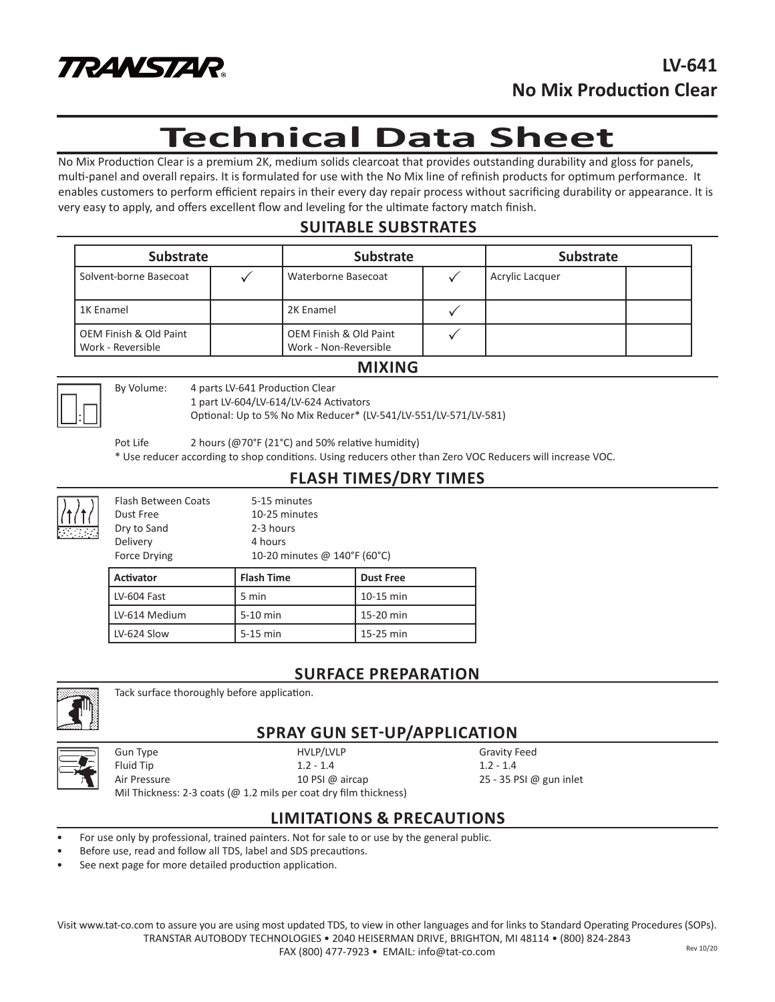

# **Technical Data Sheet**

No Mix Production Clear is a premium 2K, medium solids clearcoat that provides outstanding durability and gloss for panels, multi-panel and overall repairs. It is formulated for use with the No Mix line of refinish products for optimum performance. It enables customers to perform efficient repairs in their every day repair process without sacrificing durability or appearance. It is very easy to apply, and offers excellent flow and leveling for the ultimate factory match finish.

# **SUITABLE SUBSTRATES**

| <b>Substrate</b>                            |  | <b>Substrate</b>                                           |  | <b>Substrate</b> |  |
|---------------------------------------------|--|------------------------------------------------------------|--|------------------|--|
| Solvent-borne Basecoat                      |  | Waterborne Basecoat                                        |  | Acrylic Lacquer  |  |
| 1K Enamel                                   |  | 2K Enamel                                                  |  |                  |  |
| OEM Finish & Old Paint<br>Work - Reversible |  | <b>OEM Finish &amp; Old Paint</b><br>Work - Non-Reversible |  |                  |  |

#### **MIXING**



By Volume: 4 parts LV-641 Production Clear

1 part LV-604/LV-614/LV-624 Activators

Optional: Up to 5% No Mix Reducer\* (LV-541/LV-551/LV-571/LV-581)

Pot Life 2 hours (@70°F (21°C) and 50% relative humidity)

\* Use reducer according to shop conditions. Using reducers other than Zero VOC Reducers will increase VOC.

### **FLASH TIMES/DRY TIMES**

Flash Between Coats 5-15 minutes Dust Free 10-25 minutes Dry to Sand 2-3 hours Delivery 4 hours Force Drying 10-20 minutes @ 140°F (60°C)

| <b>Activator</b> | Flash Time | <b>Dust Free</b> |  |
|------------------|------------|------------------|--|
| LV-604 Fast      | 5 min      | 10-15 min        |  |
| LV-614 Medium    | 5-10 min   | 15-20 min        |  |
| LV-624 Slow      | $5-15$ min | 15-25 min        |  |

## **SURFACE PREPARATION**



Tack surface thoroughly before application.

# **SPRAY GUN SET-UP/APPLICATION**



Fluid Tip 1.2 - 1.4 1.2 - 1.4

Gun Type **Gravity Feed** HVLP/LVLP **Gravity Feed** 

Air Pressure 25 - 35 PSI @ aircap 25 - 35 PSI @ gun inlet

Mil Thickness: 2-3 coats (@ 1.2 mils per coat dry film thickness)

### **LIMITATIONS & PRECAUTIONS**

- For use only by professional, trained painters. Not for sale to or use by the general public.
- Before use, read and follow all TDS, label and SDS precautions.
- See next page for more detailed production application.

Visit www.tat-co.com to assure you are using most updated TDS, to view in other languages and for links to Standard Operating Procedures (SOPs). TRANSTAR AUTOBODY TECHNOLOGIES • 2040 HEISERMAN DRIVE, BRIGHTON, MI 48114 • (800) 824-2843